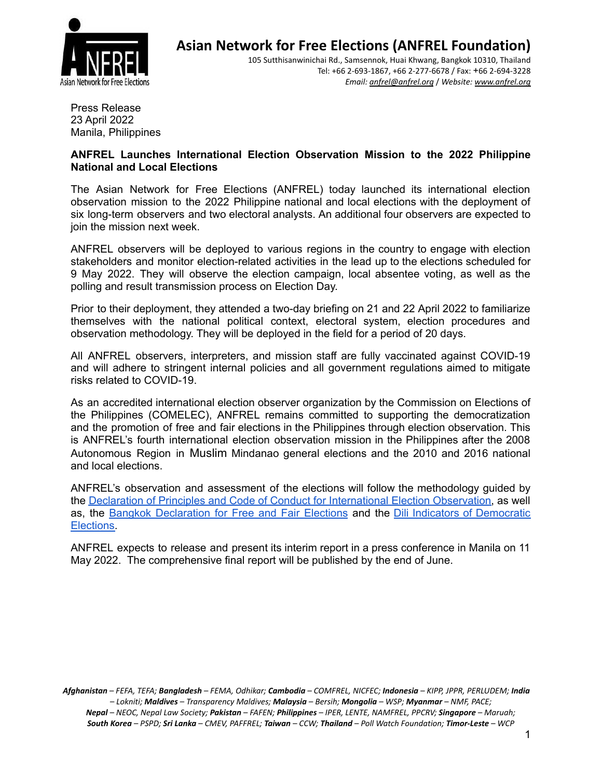

## **Asian Network for Free Elections (ANFREL Foundation)**

105 Sutthisanwinichai Rd., Samsennok, Huai Khwang, Bangkok 10310, Thailand Tel: +66 2-693-1867, +66 2-277-6678 / Fax: +66 2-694-3228 *Email: [anfrel@anfrel.org](mailto:anfrel@anfrel.org)* / *Website: [www.anfrel.org](http://www.anfrel.org)*

Press Release 23 April 2022 Manila, Philippines

### **ANFREL Launches International Election Observation Mission to the 2022 Philippine National and Local Elections**

The Asian Network for Free Elections (ANFREL) today launched its international election observation mission to the 2022 Philippine national and local elections with the deployment of six long-term observers and two electoral analysts. An additional four observers are expected to join the mission next week.

ANFREL observers will be deployed to various regions in the country to engage with election stakeholders and monitor election-related activities in the lead up to the elections scheduled for 9 May 2022. They will observe the election campaign, local absentee voting, as well as the polling and result transmission process on Election Day.

Prior to their deployment, they attended a two-day briefing on 21 and 22 April 2022 to familiarize themselves with the national political context, electoral system, election procedures and observation methodology. They will be deployed in the field for a period of 20 days.

All ANFREL observers, interpreters, and mission staff are fully vaccinated against COVID-19 and will adhere to stringent internal policies and all government regulations aimed to mitigate risks related to COVID-19.

As an accredited international election observer organization by the Commission on Elections of the Philippines (COMELEC), ANFREL remains committed to supporting the democratization and the promotion of free and fair elections in the Philippines through election observation. This is ANFREL's fourth international election observation mission in the Philippines after the 2008 Autonomous Region in Muslim Mindanao general elections and the 2010 and 2016 national and local elections.

ANFREL's observation and assessment of the elections will follow the methodology guided by the Declaration of Principles and Code of Conduct for [International](https://www.ndi.org/sites/default/files/1923_declaration_102705_0.pdf) Election Observation, as well as, the Bangkok [Declaration](https://anfrel.org/wp-content/uploads/2018/06/The-Bangkok-Declaration-on-Free-and-Fair-Elections.pdf) for Free and Fair Elections and the Dili Indicators of [Democratic](https://anfrel.org/wp-content/uploads/2018/06/2015-Dili-Indicators-of-Democratic-Elections.pdf) [Elections.](https://anfrel.org/wp-content/uploads/2018/06/2015-Dili-Indicators-of-Democratic-Elections.pdf)

ANFREL expects to release and present its interim report in a press conference in Manila on 11 May 2022. The comprehensive final report will be published by the end of June.

*Afghanistan – FEFA, TEFA; Bangladesh – FEMA, Odhikar; Cambodia – COMFREL, NICFEC; Indonesia – KIPP, JPPR, PERLUDEM; India – Lokniti; Maldives – Transparency Maldives; Malaysia – Bersih; Mongolia – WSP; Myanmar – NMF, PACE; Nepal – NEOC, Nepal Law Society; Pakistan – FAFEN; Philippines – IPER, LENTE, NAMFREL, PPCRV; Singapore – Maruah; South Korea – PSPD; Sri Lanka – CMEV, PAFFREL; Taiwan – CCW; Thailand – Poll Watch Foundation; Timor-Leste – WCP*